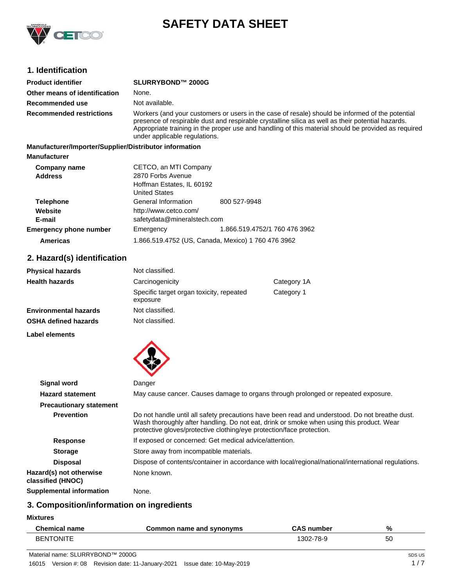

# **SAFETY DATA SHEET**

#### **1. Identification**

| <b>Product identifier</b>                              | SLURRYBOND™ 2000G                                                                                                                                                                                                                                                                                                                            |
|--------------------------------------------------------|----------------------------------------------------------------------------------------------------------------------------------------------------------------------------------------------------------------------------------------------------------------------------------------------------------------------------------------------|
| Other means of identification                          | None.                                                                                                                                                                                                                                                                                                                                        |
| Recommended use                                        | Not available.                                                                                                                                                                                                                                                                                                                               |
| <b>Recommended restrictions</b>                        | Workers (and your customers or users in the case of resale) should be informed of the potential<br>presence of respirable dust and respirable crystalline silica as well as their potential hazards.<br>Appropriate training in the proper use and handling of this material should be provided as required<br>under applicable regulations. |
| Manufacturer/Importer/Supplier/Distributor information |                                                                                                                                                                                                                                                                                                                                              |
| <b>Manufacturer</b>                                    |                                                                                                                                                                                                                                                                                                                                              |
| Company name                                           | CETCO, an MTI Company                                                                                                                                                                                                                                                                                                                        |
| .                                                      | $0.070$ $\Gamma$ - $\sim$ $\Lambda$ $\sim$ $\sim$ $\sim$ $\sim$                                                                                                                                                                                                                                                                              |

| <b>Address</b>                | 2870 Forbs Avenue           |                                                    |
|-------------------------------|-----------------------------|----------------------------------------------------|
|                               | Hoffman Estates, IL 60192   |                                                    |
|                               | <b>United States</b>        |                                                    |
| <b>Telephone</b>              | General Information         | 800 527-9948                                       |
| Website                       | http://www.cetco.com/       |                                                    |
| E-mail                        | safetydata@mineralstech.com |                                                    |
| <b>Emergency phone number</b> | Emergency                   | 1.866.519.4752/1 760 476 3962                      |
| <b>Americas</b>               |                             | 1.866.519.4752 (US, Canada, Mexico) 1 760 476 3962 |

### **2. Hazard(s) identification**

| <b>Physical hazards</b>      | Not classified.                                      |             |
|------------------------------|------------------------------------------------------|-------------|
| <b>Health hazards</b>        | Carcinogenicity                                      | Category 1A |
|                              | Specific target organ toxicity, repeated<br>exposure | Category 1  |
| <b>Environmental hazards</b> | Not classified.                                      |             |
| <b>OSHA defined hazards</b>  | Not classified.                                      |             |

**Label elements**



| Signal word                                  | Danger                                                                                                                                                                                                                                                              |  |
|----------------------------------------------|---------------------------------------------------------------------------------------------------------------------------------------------------------------------------------------------------------------------------------------------------------------------|--|
| <b>Hazard statement</b>                      | May cause cancer. Causes damage to organs through prolonged or repeated exposure.                                                                                                                                                                                   |  |
| <b>Precautionary statement</b>               |                                                                                                                                                                                                                                                                     |  |
| <b>Prevention</b>                            | Do not handle until all safety precautions have been read and understood. Do not breathe dust.<br>Wash thoroughly after handling. Do not eat, drink or smoke when using this product. Wear<br>protective gloves/protective clothing/eye protection/face protection. |  |
| <b>Response</b>                              | If exposed or concerned: Get medical advice/attention.                                                                                                                                                                                                              |  |
| <b>Storage</b>                               | Store away from incompatible materials.                                                                                                                                                                                                                             |  |
| <b>Disposal</b>                              | Dispose of contents/container in accordance with local/regional/national/international regulations.                                                                                                                                                                 |  |
| Hazard(s) not otherwise<br>classified (HNOC) | None known.                                                                                                                                                                                                                                                         |  |
| <b>Supplemental information</b>              | None.                                                                                                                                                                                                                                                               |  |
|                                              |                                                                                                                                                                                                                                                                     |  |

### **3. Composition/information on ingredients**

**Mixtures**

L.

| <b>Chemical name</b> | Common name and synonyms | <b>CAS number</b> | %  |
|----------------------|--------------------------|-------------------|----|
| <b>BENTONITE</b>     |                          | 1302-78-9         | 50 |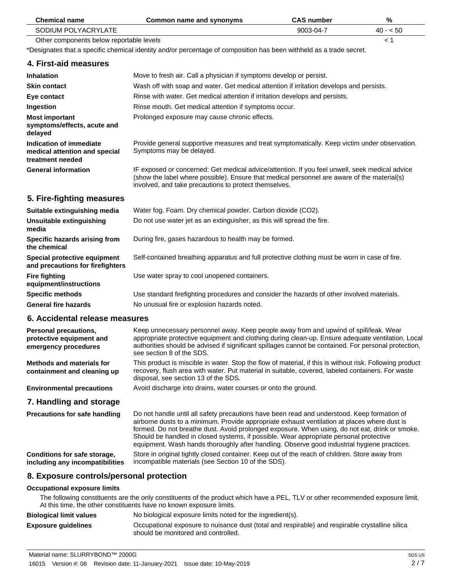| <b>Chemical name</b>                                                                                                | <b>Common name and synonyms</b>                                                                                                                                                                                                                                                                                                                                                                                                                                                        | <b>CAS number</b> | %         |
|---------------------------------------------------------------------------------------------------------------------|----------------------------------------------------------------------------------------------------------------------------------------------------------------------------------------------------------------------------------------------------------------------------------------------------------------------------------------------------------------------------------------------------------------------------------------------------------------------------------------|-------------------|-----------|
| SODIUM POLYACRYLATE                                                                                                 |                                                                                                                                                                                                                                                                                                                                                                                                                                                                                        | 9003-04-7         | $40 - 50$ |
| Other components below reportable levels                                                                            |                                                                                                                                                                                                                                                                                                                                                                                                                                                                                        |                   | < 1       |
| *Designates that a specific chemical identity and/or percentage of composition has been withheld as a trade secret. |                                                                                                                                                                                                                                                                                                                                                                                                                                                                                        |                   |           |
| 4. First-aid measures                                                                                               |                                                                                                                                                                                                                                                                                                                                                                                                                                                                                        |                   |           |
| Inhalation                                                                                                          | Move to fresh air. Call a physician if symptoms develop or persist.                                                                                                                                                                                                                                                                                                                                                                                                                    |                   |           |
| <b>Skin contact</b>                                                                                                 | Wash off with soap and water. Get medical attention if irritation develops and persists.                                                                                                                                                                                                                                                                                                                                                                                               |                   |           |
| Eye contact                                                                                                         | Rinse with water. Get medical attention if irritation develops and persists.                                                                                                                                                                                                                                                                                                                                                                                                           |                   |           |
| Ingestion                                                                                                           | Rinse mouth. Get medical attention if symptoms occur.                                                                                                                                                                                                                                                                                                                                                                                                                                  |                   |           |
| <b>Most important</b><br>symptoms/effects, acute and<br>delayed                                                     | Prolonged exposure may cause chronic effects.                                                                                                                                                                                                                                                                                                                                                                                                                                          |                   |           |
| Indication of immediate<br>medical attention and special<br>treatment needed                                        | Provide general supportive measures and treat symptomatically. Keep victim under observation.<br>Symptoms may be delayed.                                                                                                                                                                                                                                                                                                                                                              |                   |           |
| <b>General information</b>                                                                                          | IF exposed or concerned: Get medical advice/attention. If you feel unwell, seek medical advice<br>(show the label where possible). Ensure that medical personnel are aware of the material(s)<br>involved, and take precautions to protect themselves.                                                                                                                                                                                                                                 |                   |           |
| 5. Fire-fighting measures                                                                                           |                                                                                                                                                                                                                                                                                                                                                                                                                                                                                        |                   |           |
| Suitable extinguishing media                                                                                        | Water fog. Foam. Dry chemical powder. Carbon dioxide (CO2).                                                                                                                                                                                                                                                                                                                                                                                                                            |                   |           |
| Unsuitable extinguishing<br>media                                                                                   | Do not use water jet as an extinguisher, as this will spread the fire.                                                                                                                                                                                                                                                                                                                                                                                                                 |                   |           |
| Specific hazards arising from<br>the chemical                                                                       | During fire, gases hazardous to health may be formed.                                                                                                                                                                                                                                                                                                                                                                                                                                  |                   |           |
| Special protective equipment<br>and precautions for firefighters                                                    | Self-contained breathing apparatus and full protective clothing must be worn in case of fire.                                                                                                                                                                                                                                                                                                                                                                                          |                   |           |
| <b>Fire fighting</b><br>equipment/instructions                                                                      | Use water spray to cool unopened containers.                                                                                                                                                                                                                                                                                                                                                                                                                                           |                   |           |
| <b>Specific methods</b>                                                                                             | Use standard firefighting procedures and consider the hazards of other involved materials.                                                                                                                                                                                                                                                                                                                                                                                             |                   |           |
| <b>General fire hazards</b>                                                                                         | No unusual fire or explosion hazards noted.                                                                                                                                                                                                                                                                                                                                                                                                                                            |                   |           |
| 6. Accidental release measures                                                                                      |                                                                                                                                                                                                                                                                                                                                                                                                                                                                                        |                   |           |
| Personal precautions,<br>protective equipment and<br>emergency procedures                                           | Keep unnecessary personnel away. Keep people away from and upwind of spill/leak. Wear<br>appropriate protective equipment and clothing during clean-up. Ensure adequate ventilation. Local<br>authorities should be advised if significant spillages cannot be contained. For personal protection,<br>see section 8 of the SDS.                                                                                                                                                        |                   |           |
| <b>Methods and materials for</b><br>containment and cleaning up                                                     | This product is miscible in water. Stop the flow of material, if this is without risk. Following product<br>recovery, flush area with water. Put material in suitable, covered, labeled containers. For waste<br>disposal, see section 13 of the SDS.                                                                                                                                                                                                                                  |                   |           |
| <b>Environmental precautions</b>                                                                                    | Avoid discharge into drains, water courses or onto the ground.                                                                                                                                                                                                                                                                                                                                                                                                                         |                   |           |
| 7. Handling and storage                                                                                             |                                                                                                                                                                                                                                                                                                                                                                                                                                                                                        |                   |           |
| <b>Precautions for safe handling</b>                                                                                | Do not handle until all safety precautions have been read and understood. Keep formation of<br>airborne dusts to a minimum. Provide appropriate exhaust ventilation at places where dust is<br>formed. Do not breathe dust. Avoid prolonged exposure. When using, do not eat, drink or smoke.<br>Should be handled in closed systems, if possible. Wear appropriate personal protective<br>equipment. Wash hands thoroughly after handling. Observe good industrial hygiene practices. |                   |           |
| Conditions for safe storage,<br>including any incompatibilities                                                     | Store in original tightly closed container. Keep out of the reach of children. Store away from<br>incompatible materials (see Section 10 of the SDS).                                                                                                                                                                                                                                                                                                                                  |                   |           |
| 8. Exposure controls/personal protection                                                                            |                                                                                                                                                                                                                                                                                                                                                                                                                                                                                        |                   |           |
| <b>Occupational exposure limits</b>                                                                                 | The following constituents are the only constituents of the product which have a PEL, TLV or other recommended exposure limit.<br>At this time, the other constituents have no known exposure limits.                                                                                                                                                                                                                                                                                  |                   |           |
|                                                                                                                     |                                                                                                                                                                                                                                                                                                                                                                                                                                                                                        |                   |           |

| <b>Biological limit values</b> | No biological exposure limits noted for the ingredient(s).                                                                             |
|--------------------------------|----------------------------------------------------------------------------------------------------------------------------------------|
| <b>Exposure quidelines</b>     | Occupational exposure to nuisance dust (total and respirable) and respirable crystalline silica<br>should be monitored and controlled. |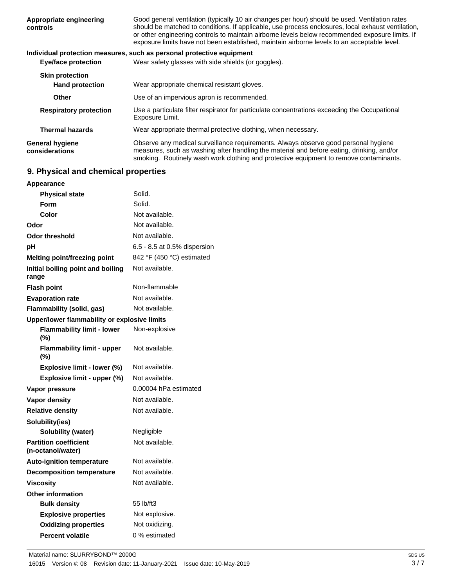| Appropriate engineering<br>controls      | Good general ventilation (typically 10 air changes per hour) should be used. Ventilation rates<br>should be matched to conditions. If applicable, use process enclosures, local exhaust ventilation,<br>or other engineering controls to maintain airborne levels below recommended exposure limits. If<br>exposure limits have not been established, maintain airborne levels to an acceptable level. |
|------------------------------------------|--------------------------------------------------------------------------------------------------------------------------------------------------------------------------------------------------------------------------------------------------------------------------------------------------------------------------------------------------------------------------------------------------------|
|                                          | Individual protection measures, such as personal protective equipment                                                                                                                                                                                                                                                                                                                                  |
| <b>Eye/face protection</b>               | Wear safety glasses with side shields (or goggles).                                                                                                                                                                                                                                                                                                                                                    |
| <b>Skin protection</b>                   |                                                                                                                                                                                                                                                                                                                                                                                                        |
| <b>Hand protection</b>                   | Wear appropriate chemical resistant gloves.                                                                                                                                                                                                                                                                                                                                                            |
| Other                                    | Use of an impervious apron is recommended.                                                                                                                                                                                                                                                                                                                                                             |
| <b>Respiratory protection</b>            | Use a particulate filter respirator for particulate concentrations exceeding the Occupational<br>Exposure Limit.                                                                                                                                                                                                                                                                                       |
| <b>Thermal hazards</b>                   | Wear appropriate thermal protective clothing, when necessary.                                                                                                                                                                                                                                                                                                                                          |
| <b>General hygiene</b><br>considerations | Observe any medical surveillance requirements. Always observe good personal hygiene<br>measures, such as washing after handling the material and before eating, drinking, and/or<br>smoking. Routinely wash work clothing and protective equipment to remove contaminants.                                                                                                                             |

## **9. Physical and chemical properties**

| <b>Appearance</b>                                 |                              |  |
|---------------------------------------------------|------------------------------|--|
| <b>Physical state</b>                             | Solid.                       |  |
| Form                                              | Solid.                       |  |
| Color                                             | Not available.               |  |
| Odor                                              | Not available.               |  |
| <b>Odor threshold</b>                             | Not available.               |  |
| рH                                                | 6.5 - 8.5 at 0.5% dispersion |  |
| <b>Melting point/freezing point</b>               | 842 °F (450 °C) estimated    |  |
| Initial boiling point and boiling<br>range        | Not available.               |  |
| <b>Flash point</b>                                | Non-flammable                |  |
| <b>Evaporation rate</b>                           | Not available.               |  |
| <b>Flammability (solid, gas)</b>                  | Not available.               |  |
| Upper/lower flammability or explosive limits      |                              |  |
| <b>Flammability limit - lower</b><br>$(\%)$       | Non-explosive                |  |
| <b>Flammability limit - upper</b><br>$(\%)$       | Not available.               |  |
| Explosive limit - lower (%)                       | Not available.               |  |
| Explosive limit - upper (%)                       | Not available.               |  |
| Vapor pressure                                    | 0.00004 hPa estimated        |  |
| <b>Vapor density</b>                              | Not available.               |  |
| <b>Relative density</b>                           | Not available.               |  |
| Solubility(ies)                                   |                              |  |
| <b>Solubility (water)</b>                         | Negligible                   |  |
| <b>Partition coefficient</b><br>(n-octanol/water) | Not available.               |  |
| <b>Auto-ignition temperature</b>                  | Not available.               |  |
| <b>Decomposition temperature</b>                  | Not available.               |  |
| <b>Viscosity</b>                                  | Not available.               |  |
| <b>Other information</b>                          |                              |  |
| <b>Bulk density</b>                               | 55 lb/ft3                    |  |
| <b>Explosive properties</b>                       | Not explosive.               |  |
| <b>Oxidizing properties</b>                       | Not oxidizing.               |  |
| <b>Percent volatile</b>                           | 0 % estimated                |  |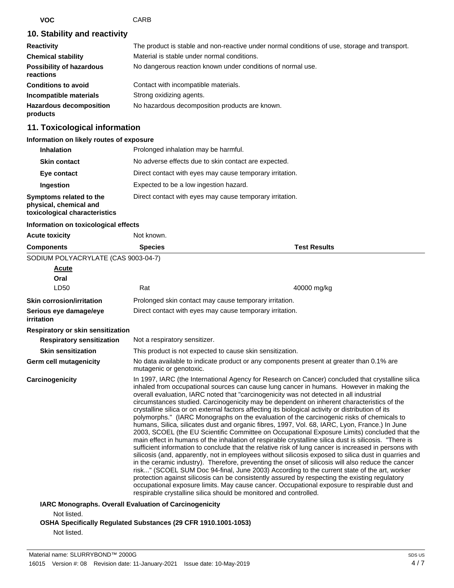**VOC** CARB

#### **10. Stability and reactivity**

| <b>Reactivity</b>                            | The product is stable and non-reactive under normal conditions of use, storage and transport. |
|----------------------------------------------|-----------------------------------------------------------------------------------------------|
| <b>Chemical stability</b>                    | Material is stable under normal conditions.                                                   |
| <b>Possibility of hazardous</b><br>reactions | No dangerous reaction known under conditions of normal use.                                   |
| <b>Conditions to avoid</b>                   | Contact with incompatible materials.                                                          |
| Incompatible materials                       | Strong oxidizing agents.                                                                      |
| <b>Hazardous decomposition</b><br>products   | No hazardous decomposition products are known.                                                |

#### **11. Toxicological information**

#### **Information on likely routes of exposure**

| <b>Inhalation</b>                                                                  | Prolonged inhalation may be harmful.                     |  |
|------------------------------------------------------------------------------------|----------------------------------------------------------|--|
| <b>Skin contact</b>                                                                | No adverse effects due to skin contact are expected.     |  |
| Eye contact                                                                        | Direct contact with eyes may cause temporary irritation. |  |
| Ingestion                                                                          | Expected to be a low ingestion hazard.                   |  |
| Symptoms related to the<br>physical, chemical and<br>toxicological characteristics | Direct contact with eyes may cause temporary irritation. |  |

| Information on toxicological effects                                                                                                                                                                                                                                                                                                                                                                                                                                                                                                                                                                                                                                                                                                                                                                                                                                                                                                                                                                                                                                                                                                                                                                                                                                                                                                                                                                                                                                                                                                                                                               |                     |
|----------------------------------------------------------------------------------------------------------------------------------------------------------------------------------------------------------------------------------------------------------------------------------------------------------------------------------------------------------------------------------------------------------------------------------------------------------------------------------------------------------------------------------------------------------------------------------------------------------------------------------------------------------------------------------------------------------------------------------------------------------------------------------------------------------------------------------------------------------------------------------------------------------------------------------------------------------------------------------------------------------------------------------------------------------------------------------------------------------------------------------------------------------------------------------------------------------------------------------------------------------------------------------------------------------------------------------------------------------------------------------------------------------------------------------------------------------------------------------------------------------------------------------------------------------------------------------------------------|---------------------|
| Not known.                                                                                                                                                                                                                                                                                                                                                                                                                                                                                                                                                                                                                                                                                                                                                                                                                                                                                                                                                                                                                                                                                                                                                                                                                                                                                                                                                                                                                                                                                                                                                                                         |                     |
| <b>Species</b>                                                                                                                                                                                                                                                                                                                                                                                                                                                                                                                                                                                                                                                                                                                                                                                                                                                                                                                                                                                                                                                                                                                                                                                                                                                                                                                                                                                                                                                                                                                                                                                     | <b>Test Results</b> |
| SODIUM POLYACRYLATE (CAS 9003-04-7)                                                                                                                                                                                                                                                                                                                                                                                                                                                                                                                                                                                                                                                                                                                                                                                                                                                                                                                                                                                                                                                                                                                                                                                                                                                                                                                                                                                                                                                                                                                                                                |                     |
|                                                                                                                                                                                                                                                                                                                                                                                                                                                                                                                                                                                                                                                                                                                                                                                                                                                                                                                                                                                                                                                                                                                                                                                                                                                                                                                                                                                                                                                                                                                                                                                                    |                     |
|                                                                                                                                                                                                                                                                                                                                                                                                                                                                                                                                                                                                                                                                                                                                                                                                                                                                                                                                                                                                                                                                                                                                                                                                                                                                                                                                                                                                                                                                                                                                                                                                    |                     |
| Rat                                                                                                                                                                                                                                                                                                                                                                                                                                                                                                                                                                                                                                                                                                                                                                                                                                                                                                                                                                                                                                                                                                                                                                                                                                                                                                                                                                                                                                                                                                                                                                                                | 40000 mg/kg         |
| Prolonged skin contact may cause temporary irritation.                                                                                                                                                                                                                                                                                                                                                                                                                                                                                                                                                                                                                                                                                                                                                                                                                                                                                                                                                                                                                                                                                                                                                                                                                                                                                                                                                                                                                                                                                                                                             |                     |
| Direct contact with eyes may cause temporary irritation.                                                                                                                                                                                                                                                                                                                                                                                                                                                                                                                                                                                                                                                                                                                                                                                                                                                                                                                                                                                                                                                                                                                                                                                                                                                                                                                                                                                                                                                                                                                                           |                     |
|                                                                                                                                                                                                                                                                                                                                                                                                                                                                                                                                                                                                                                                                                                                                                                                                                                                                                                                                                                                                                                                                                                                                                                                                                                                                                                                                                                                                                                                                                                                                                                                                    |                     |
| Not a respiratory sensitizer.                                                                                                                                                                                                                                                                                                                                                                                                                                                                                                                                                                                                                                                                                                                                                                                                                                                                                                                                                                                                                                                                                                                                                                                                                                                                                                                                                                                                                                                                                                                                                                      |                     |
| This product is not expected to cause skin sensitization.                                                                                                                                                                                                                                                                                                                                                                                                                                                                                                                                                                                                                                                                                                                                                                                                                                                                                                                                                                                                                                                                                                                                                                                                                                                                                                                                                                                                                                                                                                                                          |                     |
| No data available to indicate product or any components present at greater than 0.1% are<br>mutagenic or genotoxic.                                                                                                                                                                                                                                                                                                                                                                                                                                                                                                                                                                                                                                                                                                                                                                                                                                                                                                                                                                                                                                                                                                                                                                                                                                                                                                                                                                                                                                                                                |                     |
| In 1997, IARC (the International Agency for Research on Cancer) concluded that crystalline silica<br>inhaled from occupational sources can cause lung cancer in humans. However in making the<br>overall evaluation, IARC noted that "carcinogenicity was not detected in all industrial<br>circumstances studied. Carcinogenicity may be dependent on inherent characteristics of the<br>crystalline silica or on external factors affecting its biological activity or distribution of its<br>polymorphs." (IARC Monographs on the evaluation of the carcinogenic risks of chemicals to<br>humans, Silica, silicates dust and organic fibres, 1997, Vol. 68, IARC, Lyon, France.) In June<br>2003, SCOEL (the EU Scientific Committee on Occupational Exposure Limits) concluded that the<br>main effect in humans of the inhalation of respirable crystalline silica dust is silicosis. "There is<br>sufficient information to conclude that the relative risk of lung cancer is increased in persons with<br>silicosis (and, apparently, not in employees without silicosis exposed to silica dust in quarries and<br>in the ceramic industry). Therefore, preventing the onset of silicosis will also reduce the cancer<br>risk" (SCOEL SUM Doc 94-final, June 2003) According to the current state of the art, worker<br>protection against silicosis can be consistently assured by respecting the existing regulatory<br>occupational exposure limits. May cause cancer. Occupational exposure to respirable dust and<br>respirable crystalline silica should be monitored and controlled. |                     |
| <b>IARC Monographs. Overall Evaluation of Carcinogenicity</b>                                                                                                                                                                                                                                                                                                                                                                                                                                                                                                                                                                                                                                                                                                                                                                                                                                                                                                                                                                                                                                                                                                                                                                                                                                                                                                                                                                                                                                                                                                                                      |                     |
|                                                                                                                                                                                                                                                                                                                                                                                                                                                                                                                                                                                                                                                                                                                                                                                                                                                                                                                                                                                                                                                                                                                                                                                                                                                                                                                                                                                                                                                                                                                                                                                                    |                     |
|                                                                                                                                                                                                                                                                                                                                                                                                                                                                                                                                                                                                                                                                                                                                                                                                                                                                                                                                                                                                                                                                                                                                                                                                                                                                                                                                                                                                                                                                                                                                                                                                    |                     |

**OSHA Specifically Regulated Substances (29 CFR 1910.1001-1053)**

Not listed.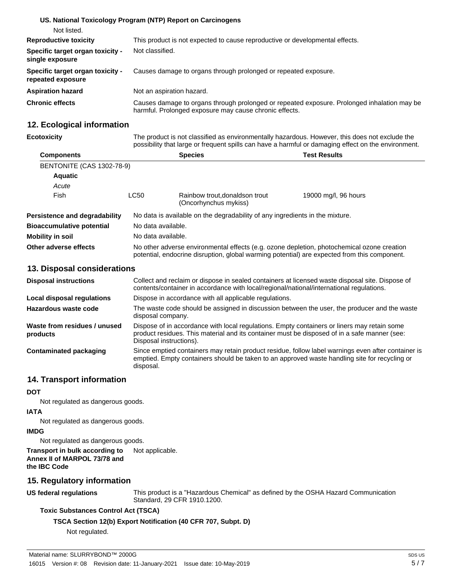|                                                       | US. National Toxicology Program (NTP) Report on Carcinogens                                                                                           |
|-------------------------------------------------------|-------------------------------------------------------------------------------------------------------------------------------------------------------|
| Not listed.                                           |                                                                                                                                                       |
| <b>Reproductive toxicity</b>                          | This product is not expected to cause reproductive or developmental effects.                                                                          |
| Specific target organ toxicity -<br>single exposure   | Not classified.                                                                                                                                       |
| Specific target organ toxicity -<br>repeated exposure | Causes damage to organs through prolonged or repeated exposure.                                                                                       |
| <b>Aspiration hazard</b>                              | Not an aspiration hazard.                                                                                                                             |
| <b>Chronic effects</b>                                | Causes damage to organs through prolonged or repeated exposure. Prolonged inhalation may be<br>harmful. Prolonged exposure may cause chronic effects. |

#### **12. Ecological information**

| <b>Ecotoxicity</b>               |                                                                              | The product is not classified as environmentally hazardous. However, this does not exclude the<br>possibility that large or frequent spills can have a harmful or damaging effect on the environment. |                      |  |  |
|----------------------------------|------------------------------------------------------------------------------|-------------------------------------------------------------------------------------------------------------------------------------------------------------------------------------------------------|----------------------|--|--|
| <b>Components</b>                |                                                                              | <b>Species</b>                                                                                                                                                                                        | <b>Test Results</b>  |  |  |
| <b>BENTONITE (CAS 1302-78-9)</b> |                                                                              |                                                                                                                                                                                                       |                      |  |  |
| <b>Aquatic</b>                   |                                                                              |                                                                                                                                                                                                       |                      |  |  |
| Acute                            |                                                                              |                                                                                                                                                                                                       |                      |  |  |
| Fish                             | LC50                                                                         | Rainbow trout, donaldson trout<br>(Oncorhynchus mykiss)                                                                                                                                               | 19000 mg/l, 96 hours |  |  |
| Persistence and degradability    | No data is available on the degradability of any ingredients in the mixture. |                                                                                                                                                                                                       |                      |  |  |
| <b>Bioaccumulative potential</b> | No data available.                                                           |                                                                                                                                                                                                       |                      |  |  |
| Mobility in soil                 | No data available.                                                           |                                                                                                                                                                                                       |                      |  |  |
| Other adverse effects            |                                                                              | No other adverse environmental effects (e.g. ozone depletion, photochemical ozone creation<br>potential, endocrine disruption, global warming potential) are expected from this component.            |                      |  |  |
| 13. Disposal considerations      |                                                                              |                                                                                                                                                                                                       |                      |  |  |

| <b>Disposal instructions</b>             | Collect and reclaim or dispose in sealed containers at licensed waste disposal site. Dispose of<br>contents/container in accordance with local/regional/national/international regulations.                            |
|------------------------------------------|------------------------------------------------------------------------------------------------------------------------------------------------------------------------------------------------------------------------|
| Local disposal regulations               | Dispose in accordance with all applicable regulations.                                                                                                                                                                 |
| Hazardous waste code                     | The waste code should be assigned in discussion between the user, the producer and the waste<br>disposal company.                                                                                                      |
| Waste from residues / unused<br>products | Dispose of in accordance with local regulations. Empty containers or liners may retain some<br>product residues. This material and its container must be disposed of in a safe manner (see:<br>Disposal instructions). |
| Contaminated packaging                   | Since emptied containers may retain product residue, follow label warnings even after container is<br>emptied. Empty containers should be taken to an approved waste handling site for recycling or<br>disposal.       |

#### **14. Transport information**

# **DOT**

Not regulated as dangerous goods.

#### **IATA**

Not regulated as dangerous goods.

#### **IMDG**

Not regulated as dangerous goods.

**Transport in bulk according to** Not applicable. **Annex II of MARPOL 73/78 and the IBC Code**

# **15. Regulatory information**

**US federal regulations**

This product is a "Hazardous Chemical" as defined by the OSHA Hazard Communication Standard, 29 CFR 1910.1200.

#### **Toxic Substances Control Act (TSCA)**

#### **TSCA Section 12(b) Export Notification (40 CFR 707, Subpt. D)**

Not regulated.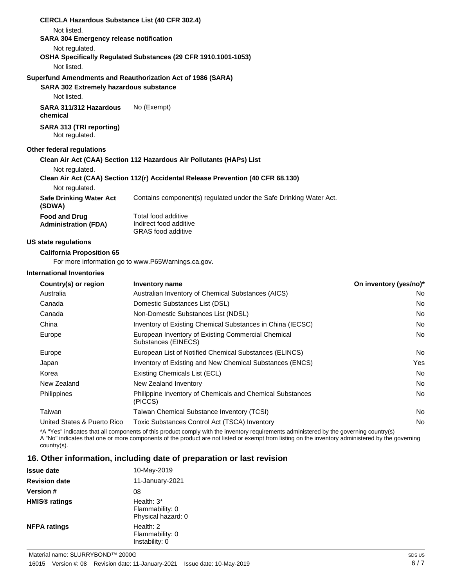| <b>CERCLA Hazardous Substance List (40 CFR 302.4)</b><br>Not listed. |                                                                                  |
|----------------------------------------------------------------------|----------------------------------------------------------------------------------|
| <b>SARA 304 Emergency release notification</b>                       |                                                                                  |
| Not regulated.                                                       |                                                                                  |
|                                                                      | OSHA Specifically Regulated Substances (29 CFR 1910.1001-1053)                   |
| Not listed.                                                          |                                                                                  |
|                                                                      | Superfund Amendments and Reauthorization Act of 1986 (SARA)                      |
| <b>SARA 302 Extremely hazardous substance</b>                        |                                                                                  |
| Not listed.                                                          |                                                                                  |
| SARA 311/312 Hazardous<br>chemical                                   | No (Exempt)                                                                      |
| SARA 313 (TRI reporting)<br>Not regulated.                           |                                                                                  |
| Other federal regulations                                            |                                                                                  |
|                                                                      | Clean Air Act (CAA) Section 112 Hazardous Air Pollutants (HAPs) List             |
| Not regulated.                                                       |                                                                                  |
|                                                                      | Clean Air Act (CAA) Section 112(r) Accidental Release Prevention (40 CFR 68.130) |
| Not regulated.                                                       |                                                                                  |
| <b>Safe Drinking Water Act</b><br>(SDWA)                             | Contains component(s) regulated under the Safe Drinking Water Act.               |
| <b>Food and Drug</b><br><b>Administration (FDA)</b>                  | Total food additive<br>Indirect food additive<br><b>GRAS</b> food additive       |
| <b>US state regulations</b>                                          |                                                                                  |

**California Proposition 65**

For more information go to www.P65Warnings.ca.gov.

#### **International Inventories**

| Country(s) or region        | Inventory name                                                            | On inventory (yes/no)* |
|-----------------------------|---------------------------------------------------------------------------|------------------------|
| Australia                   | Australian Inventory of Chemical Substances (AICS)                        | No                     |
| Canada                      | Domestic Substances List (DSL)                                            | No                     |
| Canada                      | Non-Domestic Substances List (NDSL)                                       | No                     |
| China                       | Inventory of Existing Chemical Substances in China (IECSC)                | No                     |
| Europe                      | European Inventory of Existing Commercial Chemical<br>Substances (EINECS) | No                     |
| Europe                      | European List of Notified Chemical Substances (ELINCS)                    | No                     |
| Japan                       | Inventory of Existing and New Chemical Substances (ENCS)                  | Yes                    |
| Korea                       | Existing Chemicals List (ECL)                                             | <b>No</b>              |
| New Zealand                 | New Zealand Inventory                                                     | <b>No</b>              |
| Philippines                 | Philippine Inventory of Chemicals and Chemical Substances<br>(PICCS)      | No                     |
| Taiwan                      | Taiwan Chemical Substance Inventory (TCSI)                                | No                     |
| United States & Puerto Rico | Toxic Substances Control Act (TSCA) Inventory                             | No                     |

\*A "Yes" indicates that all components of this product comply with the inventory requirements administered by the governing country(s) A "No" indicates that one or more components of the product are not listed or exempt from listing on the inventory administered by the governing country(s).

#### **16. Other information, including date of preparation or last revision**

| <b>Issue date</b>               | 10-May-2019                                           |
|---------------------------------|-------------------------------------------------------|
| <b>Revision date</b>            | 11-January-2021                                       |
| <b>Version #</b>                | 08                                                    |
| <b>HMIS<sup>®</sup></b> ratings | Health: $3*$<br>Flammability: 0<br>Physical hazard: 0 |
| <b>NFPA ratings</b>             | Health: 2<br>Flammability: 0<br>Instability: 0        |